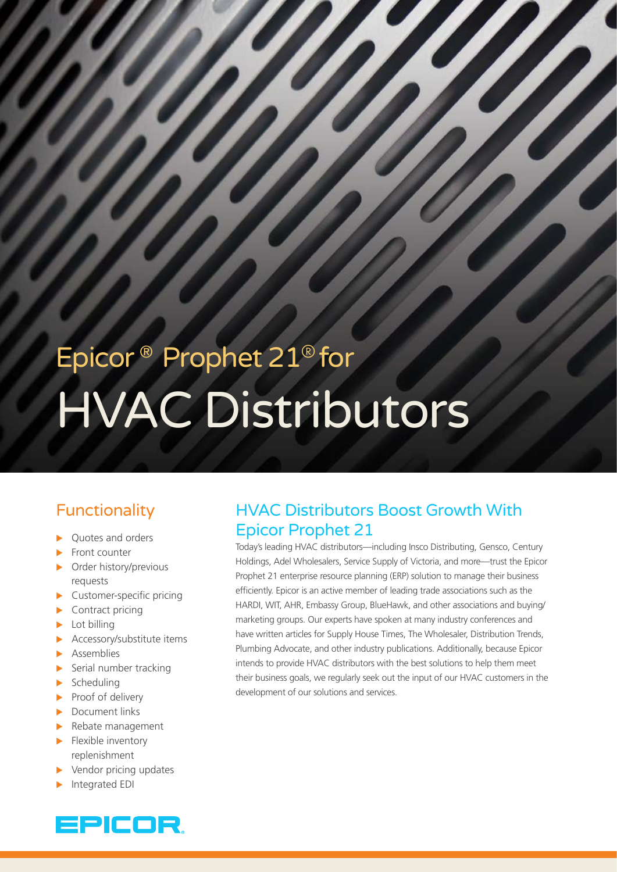# Epicor ® Prophet 21*®* for HVAC Distributors

## Functionality

- Quotes and orders
- Front counter
- Order history/previous requests
- Customer-specific pricing
- $\blacktriangleright$  Contract pricing
- Lot billing
- Accessory/substitute items
- **Assemblies**
- $\blacktriangleright$  Serial number tracking
- $\blacktriangleright$  Scheduling
- $\blacktriangleright$  Proof of delivery
- $\blacktriangleright$  Document links
- $\blacktriangleright$  Rebate management
- $\blacktriangleright$  Flexible inventory replenishment
- Vendor pricing updates
- Integrated EDI



## HVAC Distributors Boost Growth With Epicor Prophet 21

Today's leading HVAC distributors—including Insco Distributing, Gensco, Century Holdings, Adel Wholesalers, Service Supply of Victoria, and more—trust the Epicor Prophet 21 enterprise resource planning (ERP) solution to manage their business efficiently. Epicor is an active member of leading trade associations such as the HARDI, WIT, AHR, Embassy Group, BlueHawk, and other associations and buying/ marketing groups. Our experts have spoken at many industry conferences and have written articles for Supply House Times, The Wholesaler, Distribution Trends, Plumbing Advocate, and other industry publications. Additionally, because Epicor intends to provide HVAC distributors with the best solutions to help them meet their business goals, we regularly seek out the input of our HVAC customers in the development of our solutions and services.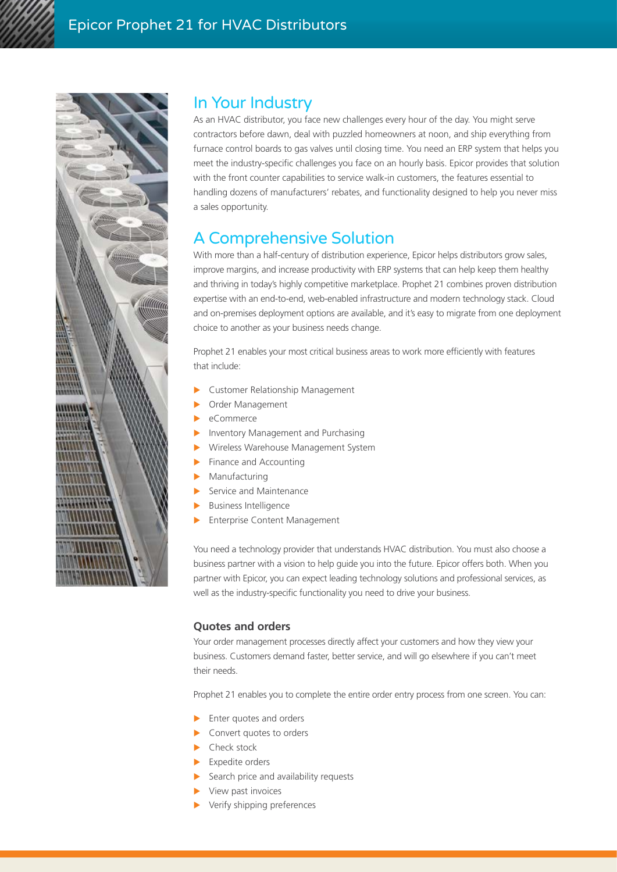

### In Your Industry

As an HVAC distributor, you face new challenges every hour of the day. You might serve contractors before dawn, deal with puzzled homeowners at noon, and ship everything from furnace control boards to gas valves until closing time. You need an ERP system that helps you meet the industry-specific challenges you face on an hourly basis. Epicor provides that solution with the front counter capabilities to service walk-in customers, the features essential to handling dozens of manufacturers' rebates, and functionality designed to help you never miss a sales opportunity.

## A Comprehensive Solution

With more than a half-century of distribution experience, Epicor helps distributors grow sales, improve margins, and increase productivity with ERP systems that can help keep them healthy and thriving in today's highly competitive marketplace. Prophet 21 combines proven distribution expertise with an end-to-end, web-enabled infrastructure and modern technology stack. Cloud and on-premises deployment options are available, and it's easy to migrate from one deployment choice to another as your business needs change.

Prophet 21 enables your most critical business areas to work more efficiently with features that include:

- Customer Relationship Management
- Order Management
- eCommerce
- Inventory Management and Purchasing
- X Wireless Warehouse Management System
- Finance and Accounting
- Manufacturing
- Service and Maintenance
- Business Intelligence
- Enterprise Content Management

You need a technology provider that understands HVAC distribution. You must also choose a business partner with a vision to help guide you into the future. Epicor offers both. When you partner with Epicor, you can expect leading technology solutions and professional services, as well as the industry-specific functionality you need to drive your business.

#### **Quotes and orders**

Your order management processes directly affect your customers and how they view your business. Customers demand faster, better service, and will go elsewhere if you can't meet their needs.

Prophet 21 enables you to complete the entire order entry process from one screen. You can:

- $\blacktriangleright$  Enter quotes and orders
- $\blacktriangleright$  Convert quotes to orders
- Check stock
- Expedite orders
- Search price and availability requests
- View past invoices
- Verify shipping preferences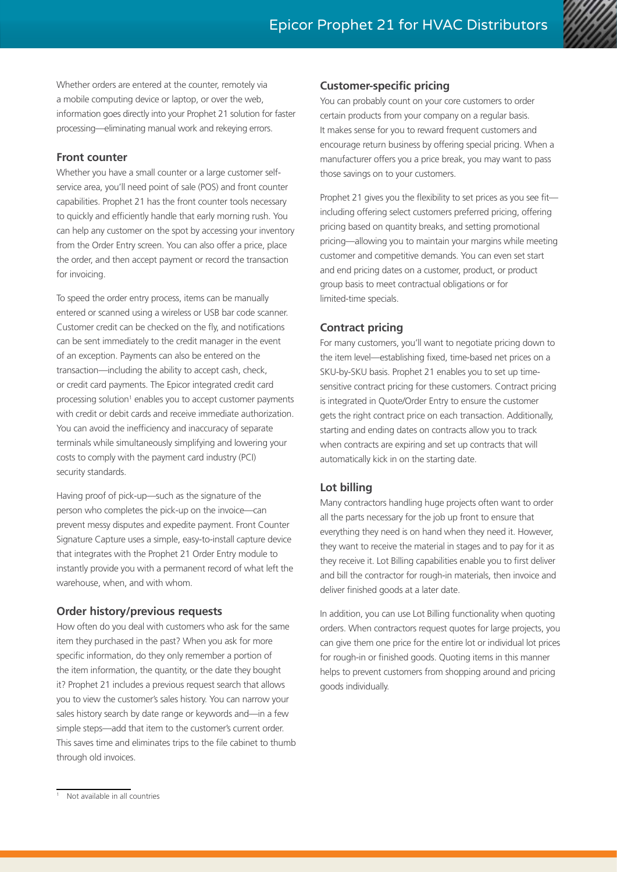Whether orders are entered at the counter, remotely via a mobile computing device or laptop, or over the web, information goes directly into your Prophet 21 solution for faster processing—eliminating manual work and rekeying errors.

#### **Front counter**

Whether you have a small counter or a large customer selfservice area, you'll need point of sale (POS) and front counter capabilities. Prophet 21 has the front counter tools necessary to quickly and efficiently handle that early morning rush. You can help any customer on the spot by accessing your inventory from the Order Entry screen. You can also offer a price, place the order, and then accept payment or record the transaction for invoicing.

To speed the order entry process, items can be manually entered or scanned using a wireless or USB bar code scanner. Customer credit can be checked on the fly, and notifications can be sent immediately to the credit manager in the event of an exception. Payments can also be entered on the transaction—including the ability to accept cash, check, or credit card payments. The Epicor integrated credit card processing solution<sup>1</sup> enables you to accept customer payments with credit or debit cards and receive immediate authorization. You can avoid the inefficiency and inaccuracy of separate terminals while simultaneously simplifying and lowering your costs to comply with the payment card industry (PCI) security standards.

Having proof of pick-up—such as the signature of the person who completes the pick-up on the invoice—can prevent messy disputes and expedite payment. Front Counter Signature Capture uses a simple, easy-to-install capture device that integrates with the Prophet 21 Order Entry module to instantly provide you with a permanent record of what left the warehouse, when, and with whom.

#### **Order history/previous requests**

How often do you deal with customers who ask for the same item they purchased in the past? When you ask for more specific information, do they only remember a portion of the item information, the quantity, or the date they bought it? Prophet 21 includes a previous request search that allows you to view the customer's sales history. You can narrow your sales history search by date range or keywords and—in a few simple steps—add that item to the customer's current order. This saves time and eliminates trips to the file cabinet to thumb through old invoices.

#### **Customer-specific pricing**

You can probably count on your core customers to order certain products from your company on a regular basis. It makes sense for you to reward frequent customers and encourage return business by offering special pricing. When a manufacturer offers you a price break, you may want to pass those savings on to your customers.

Prophet 21 gives you the flexibility to set prices as you see fit including offering select customers preferred pricing, offering pricing based on quantity breaks, and setting promotional pricing—allowing you to maintain your margins while meeting customer and competitive demands. You can even set start and end pricing dates on a customer, product, or product group basis to meet contractual obligations or for limited-time specials.

#### **Contract pricing**

For many customers, you'll want to negotiate pricing down to the item level—establishing fixed, time-based net prices on a SKU-by-SKU basis. Prophet 21 enables you to set up timesensitive contract pricing for these customers. Contract pricing is integrated in Quote/Order Entry to ensure the customer gets the right contract price on each transaction. Additionally, starting and ending dates on contracts allow you to track when contracts are expiring and set up contracts that will automatically kick in on the starting date.

#### **Lot billing**

Many contractors handling huge projects often want to order all the parts necessary for the job up front to ensure that everything they need is on hand when they need it. However, they want to receive the material in stages and to pay for it as they receive it. Lot Billing capabilities enable you to first deliver and bill the contractor for rough-in materials, then invoice and deliver finished goods at a later date.

In addition, you can use Lot Billing functionality when quoting orders. When contractors request quotes for large projects, you can give them one price for the entire lot or individual lot prices for rough-in or finished goods. Quoting items in this manner helps to prevent customers from shopping around and pricing goods individually.

<sup>1</sup> Not available in all countries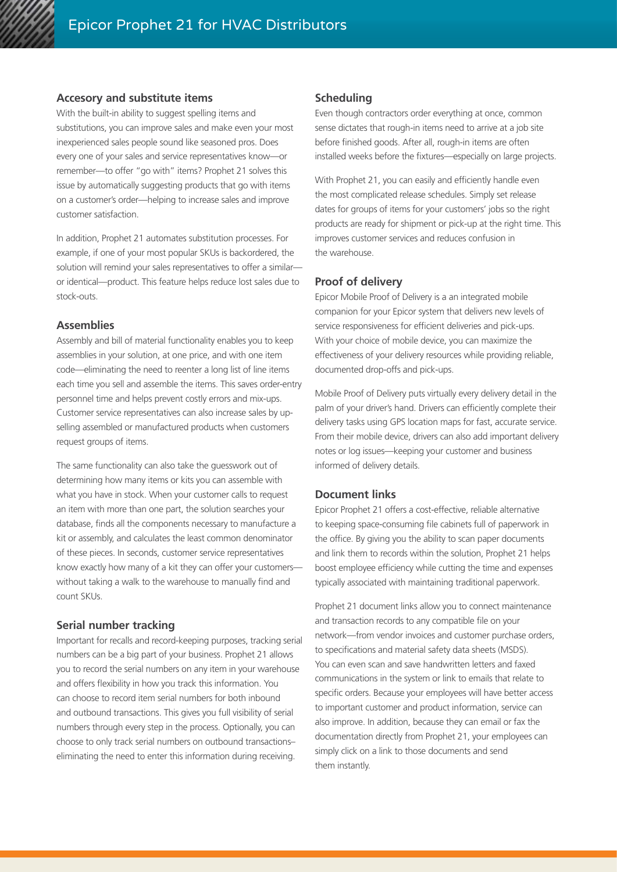#### **Accesory and substitute items**

With the built-in ability to suggest spelling items and substitutions, you can improve sales and make even your most inexperienced sales people sound like seasoned pros. Does every one of your sales and service representatives know—or remember—to offer "go with" items? Prophet 21 solves this issue by automatically suggesting products that go with items on a customer's order—helping to increase sales and improve customer satisfaction.

In addition, Prophet 21 automates substitution processes. For example, if one of your most popular SKUs is backordered, the solution will remind your sales representatives to offer a similar or identical—product. This feature helps reduce lost sales due to stock-outs.

#### **Assemblies**

Assembly and bill of material functionality enables you to keep assemblies in your solution, at one price, and with one item code—eliminating the need to reenter a long list of line items each time you sell and assemble the items. This saves order-entry personnel time and helps prevent costly errors and mix-ups. Customer service representatives can also increase sales by upselling assembled or manufactured products when customers request groups of items.

The same functionality can also take the guesswork out of determining how many items or kits you can assemble with what you have in stock. When your customer calls to request an item with more than one part, the solution searches your database, finds all the components necessary to manufacture a kit or assembly, and calculates the least common denominator of these pieces. In seconds, customer service representatives know exactly how many of a kit they can offer your customers without taking a walk to the warehouse to manually find and count SKUs.

#### **Serial number tracking**

Important for recalls and record-keeping purposes, tracking serial numbers can be a big part of your business. Prophet 21 allows you to record the serial numbers on any item in your warehouse and offers flexibility in how you track this information. You can choose to record item serial numbers for both inbound and outbound transactions. This gives you full visibility of serial numbers through every step in the process. Optionally, you can choose to only track serial numbers on outbound transactions– eliminating the need to enter this information during receiving.

#### **Scheduling**

Even though contractors order everything at once, common sense dictates that rough-in items need to arrive at a job site before finished goods. After all, rough-in items are often installed weeks before the fixtures—especially on large projects.

With Prophet 21, you can easily and efficiently handle even the most complicated release schedules. Simply set release dates for groups of items for your customers' jobs so the right products are ready for shipment or pick-up at the right time. This improves customer services and reduces confusion in the warehouse.

#### **Proof of delivery**

Epicor Mobile Proof of Delivery is a an integrated mobile companion for your Epicor system that delivers new levels of service responsiveness for efficient deliveries and pick-ups. With your choice of mobile device, you can maximize the effectiveness of your delivery resources while providing reliable, documented drop-offs and pick-ups.

Mobile Proof of Delivery puts virtually every delivery detail in the palm of your driver's hand. Drivers can efficiently complete their delivery tasks using GPS location maps for fast, accurate service. From their mobile device, drivers can also add important delivery notes or log issues—keeping your customer and business informed of delivery details.

#### **Document links**

Epicor Prophet 21 offers a cost-effective, reliable alternative to keeping space-consuming file cabinets full of paperwork in the office. By giving you the ability to scan paper documents and link them to records within the solution, Prophet 21 helps boost employee efficiency while cutting the time and expenses typically associated with maintaining traditional paperwork.

Prophet 21 document links allow you to connect maintenance and transaction records to any compatible file on your network—from vendor invoices and customer purchase orders, to specifications and material safety data sheets (MSDS). You can even scan and save handwritten letters and faxed communications in the system or link to emails that relate to specific orders. Because your employees will have better access to important customer and product information, service can also improve. In addition, because they can email or fax the documentation directly from Prophet 21, your employees can simply click on a link to those documents and send them instantly.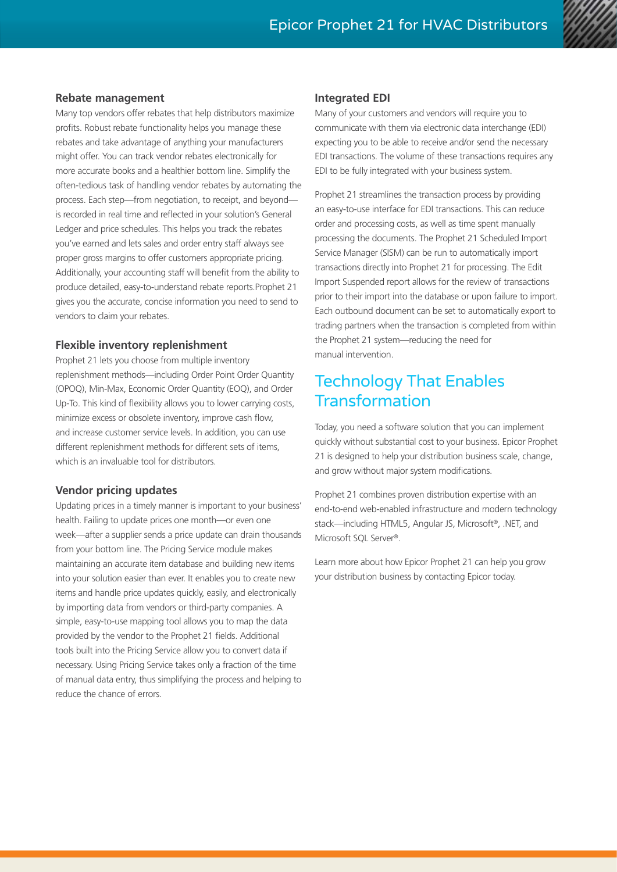#### **Rebate management**

Many top vendors offer rebates that help distributors maximize profits. Robust rebate functionality helps you manage these rebates and take advantage of anything your manufacturers might offer. You can track vendor rebates electronically for more accurate books and a healthier bottom line. Simplify the often-tedious task of handling vendor rebates by automating the process. Each step—from negotiation, to receipt, and beyond is recorded in real time and reflected in your solution's General Ledger and price schedules. This helps you track the rebates you've earned and lets sales and order entry staff always see proper gross margins to offer customers appropriate pricing. Additionally, your accounting staff will benefit from the ability to produce detailed, easy-to-understand rebate reports.Prophet 21 gives you the accurate, concise information you need to send to vendors to claim your rebates.

#### **Flexible inventory replenishment**

Prophet 21 lets you choose from multiple inventory replenishment methods—including Order Point Order Quantity (OPOQ), Min-Max, Economic Order Quantity (EOQ), and Order Up-To. This kind of flexibility allows you to lower carrying costs, minimize excess or obsolete inventory, improve cash flow, and increase customer service levels. In addition, you can use different replenishment methods for different sets of items, which is an invaluable tool for distributors.

#### **Vendor pricing updates**

Updating prices in a timely manner is important to your business' health. Failing to update prices one month—or even one week—after a supplier sends a price update can drain thousands from your bottom line. The Pricing Service module makes maintaining an accurate item database and building new items into your solution easier than ever. It enables you to create new items and handle price updates quickly, easily, and electronically by importing data from vendors or third-party companies. A simple, easy-to-use mapping tool allows you to map the data provided by the vendor to the Prophet 21 fields. Additional tools built into the Pricing Service allow you to convert data if necessary. Using Pricing Service takes only a fraction of the time of manual data entry, thus simplifying the process and helping to reduce the chance of errors.

#### **Integrated EDI**

Many of your customers and vendors will require you to communicate with them via electronic data interchange (EDI) expecting you to be able to receive and/or send the necessary EDI transactions. The volume of these transactions requires any EDI to be fully integrated with your business system.

Prophet 21 streamlines the transaction process by providing an easy-to-use interface for EDI transactions. This can reduce order and processing costs, as well as time spent manually processing the documents. The Prophet 21 Scheduled Import Service Manager (SISM) can be run to automatically import transactions directly into Prophet 21 for processing. The Edit Import Suspended report allows for the review of transactions prior to their import into the database or upon failure to import. Each outbound document can be set to automatically export to trading partners when the transaction is completed from within the Prophet 21 system—reducing the need for manual intervention.

## Technology That Enables **Transformation**

Today, you need a software solution that you can implement quickly without substantial cost to your business. Epicor Prophet 21 is designed to help your distribution business scale, change, and grow without major system modifications.

Prophet 21 combines proven distribution expertise with an end-to-end web-enabled infrastructure and modern technology stack—including HTML5, Angular JS, Microsoft®, .NET, and Microsoft SQL Server®.

Learn more about how Epicor Prophet 21 can help you grow your distribution business by contacting Epicor today.